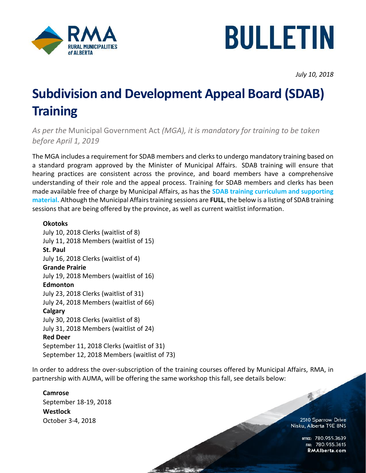



*July 10, 2018*

## **Subdivision and Development Appeal Board (SDAB) Training**

*As per the* Municipal Government Act *(MGA), it is mandatory for training to be taken before April 1, 2019*

The MGA includes [a requirement for SDAB members and clerks](https://open.alberta.ca/dataset/ab5db63d-302c-4c1b-b777-1eeb0fe23090/resource/ea043302-1566-4694-92fa-ca1f9a0c2de0/download/subdivision-and-development-appeal-board-sdab-training-requirements.pdf) to undergo mandatory training based on a standard program approved by the Minister of Municipal Affairs. SDAB training will ensure that hearing practices are consistent across the province, and board members have a comprehensive understanding of their role and the appeal process. Training for SDAB members and clerks has been made available free of charge by Municipal Affairs, as has the **[SDAB training curriculum and supporting](https://open.alberta.ca/publications/9781460140031)  [material.](https://open.alberta.ca/publications/9781460140031)** Although the Municipal Affairs training sessions are **FULL**, the below is a listing of SDAB training sessions that are being offered by the province, as well as current waitlist information.

## **Okotoks**

July 10, 2018 Clerks (waitlist of 8) July 11, 2018 Members (waitlist of 15) **St. Paul** July 16, 2018 Clerks (waitlist of 4) **Grande Prairie** July 19, 2018 Members (waitlist of 16) **Edmonton** July 23, 2018 Clerks (waitlist of 31) July 24, 2018 Members (waitlist of 66) **Calgary** July 30, 2018 Clerks (waitlist of 8) July 31, 2018 Members (waitlist of 24) **Red Deer** September 11, 2018 Clerks (waitlist of 31) September 12, 2018 Members (waitlist of 73)

In order to address the over-subscription of the training courses offered by Municipal Affairs, RMA, in partnership with AUMA, will be offering the same workshop this fall, see details below:

## **Camrose**

September 18-19, 2018 **Westlock**  October 3-4, 2018

2510 Sparrow Drive Nisku, Alberta T9E 8N5

最

OFFICE: 780.955.3639<br>15.780.955.3615 RMAIberta.com